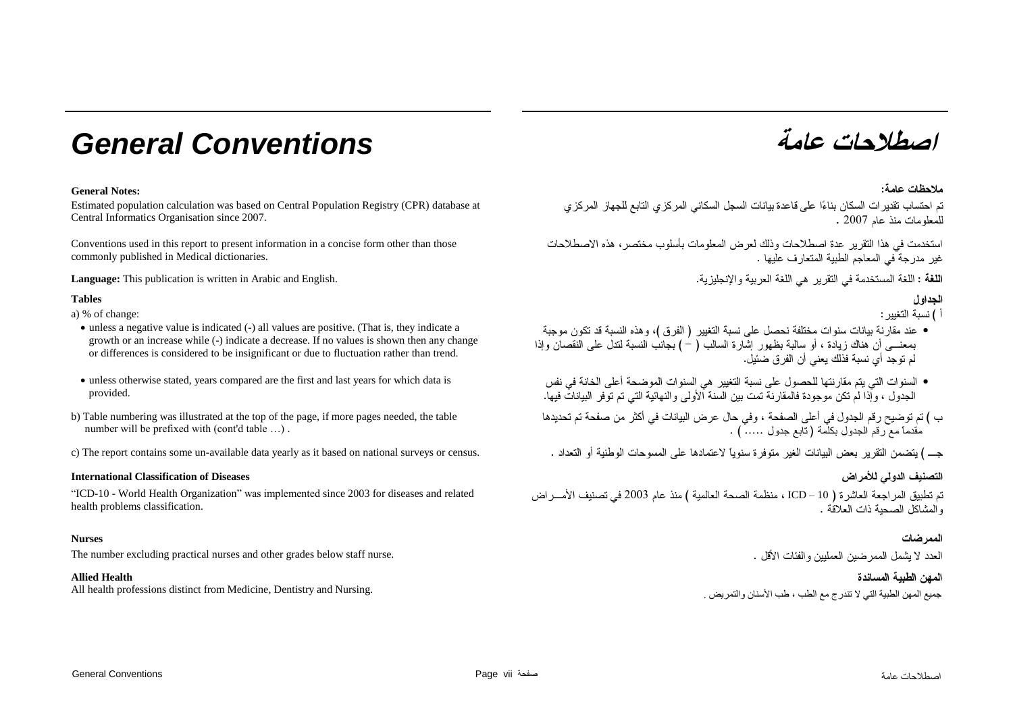# **عامة** *Conventions General*

## **General Notes:**

Estimated population calculation was based on Central Population Registry (CPR) database at

Conventions used in this report to present information in a concise form other than those commonly published in Medical dictionaries.

**Language:** This publication is written in Arabic and English.

## **Tables**

a) % of change:

- unless a negative value is indicated (-) all values are positive. (That is, they indicate a growth or an increase while (-) indicate a decrease. If no values is shown then any change or differences is considered to be insignificant or due to fluctuation rather than trend.
- unless otherwise stated, years compared are the first and last years for which data is provided.
- b) Table numbering was illustrated at the top of the page, if more pages needed, the table number will be prefixed with (cont'd table …) .
- c) The report contains some un-available data yearly as it based on national surveys or census.

## **International Classification of Diseases**

"ICD-10 - World Health Organization" was implemented since 2003 for diseases and related health problems classification.

#### **Nurses**

The number excluding practical nurses and other grades below staff nurse.

#### **Allied Health**

جميع المهن الطبية التي لا تندرج مع الطب ، طب الأسنان والتمريض . . . . . . . . All health professions distinct from Medicine, Dentistry and Nursing and Nursing جميع المهن الطبيبة التي لا تندرج مع الطب ، طب الأسنان والتمريض



## ملاحظات عامة:

تم احتساب تقدير ات السكان بناءًا على قاعدة بيانات السجل السكاني المركز ي التابع للجهاز المركز ي للمعلومات منذ عام 2007 . 2007 . [13] Central Informatics Organisation since 2007.

> استخدمت في هذا التقرير عدة اصطلاحات وذلك لعرض المعلومات بأسلوب مختصر ، هذه الاصطلاحات غير امدر جة ًفي المعاجم الطببة المتعار ف عليها .

> > ا**للغة:** اللغة المستخدمة في التقرير هي اللغة العربية والإنجليزية.

## الحداو ل

- أ ) نسبة التغبر :
- عند مقارنة بيانات سنوات مختلفة نحصل على نسبة التغيير ( الفرق )، وهذه النسبة قد تكون موجبة بمعنــــي أن هناك زيادة ، أو سالبة بظهور إشارة السالب ( – ) بجانب النسبة لندل على النقصان وإذا لْمِ تَوْجِدٍ أَيْ نَسِيةٍ فَذَلِكَ بِعَنِيٍّ أَنْ الْفَرْ قِ ضَئِيلٍ. `
- السنوات التي يتم مقار نتها للحصول على نسبة التغيير هي السنوات الموضحة أعلى الخانة في نفس<br>الجدول ، وإذا لم تكن موجودة فالمقارنة تمت بين السنة الأولى والنهائية التي تم توفر البيانات فيها.
- ب ) تم توضيح رقم الجدول في أعلى الصفحة ، وفي حال عرض البيانات في أكثر من صفحة تم تحديدها<br>مقدما مع رقم الجدول بكلمة ( تابع جدول ….. ) .

جــــ ) بتضمن التقرير يعض البيانات الغير متوفر ة سنوياً لاعتمادها على المسوحات الوطنية أو التعداد .

# التصنيف الدولي للأمراض

تم تطبيق المراجعة العاشرة ( ICD – 10 ، منظمة الصحة العالمية ) منذ عام 2003 في تصنيف الأمـــر اض ، المشاكل الصحبة ذات العلاقة .

## الممر ضات

العدد لا بشمل الممر ضبن العمليين و الفئات الأقل .

## المهن الطبية المساندة